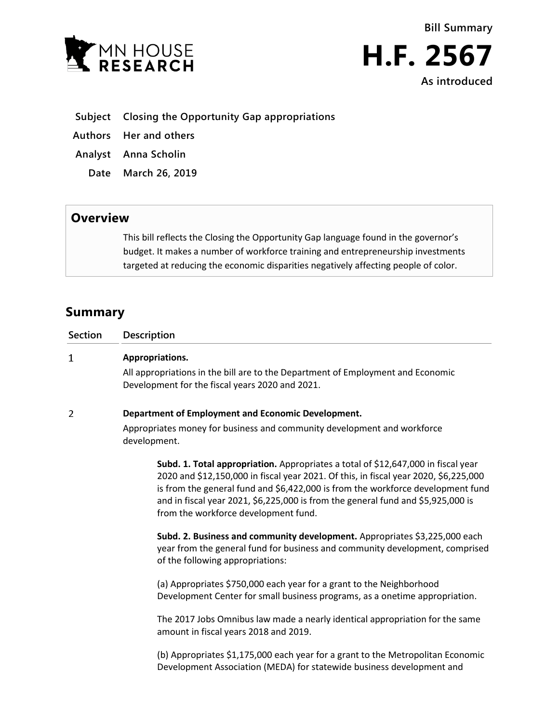



- **Subject Closing the Opportunity Gap appropriations**
- **Authors Her and others**
- **Analyst Anna Scholin**
	- **Date March 26, 2019**

## **Overview**

This bill reflects the Closing the Opportunity Gap language found in the governor's budget. It makes a number of workforce training and entrepreneurship investments targeted at reducing the economic disparities negatively affecting people of color.

# **Summary**

| <b>Section</b> | <b>Description</b>                                                                                                                 |
|----------------|------------------------------------------------------------------------------------------------------------------------------------|
| 1              | Appropriations.                                                                                                                    |
|                | All appropriations in the bill are to the Department of Employment and Economic<br>Development for the fiscal years 2020 and 2021. |
| 2              | Department of Employment and Economic Development.                                                                                 |
|                | Appropriates money for business and community development and workforce<br>development.                                            |
|                | Subd. 1. Total appropriation. Appropriates a total of \$12,647,000 in fiscal year                                                  |

2020 and \$12,150,000 in fiscal year 2021. Of this, in fiscal year 2020, \$6,225,000 is from the general fund and \$6,422,000 is from the workforce development fund and in fiscal year 2021, \$6,225,000 is from the general fund and \$5,925,000 is from the workforce development fund.

**Subd. 2. Business and community development.** Appropriates \$3,225,000 each year from the general fund for business and community development, comprised of the following appropriations:

(a) Appropriates \$750,000 each year for a grant to the Neighborhood Development Center for small business programs, as a onetime appropriation.

The 2017 Jobs Omnibus law made a nearly identical appropriation for the same amount in fiscal years 2018 and 2019.

(b) Appropriates \$1,175,000 each year for a grant to the Metropolitan Economic Development Association (MEDA) for statewide business development and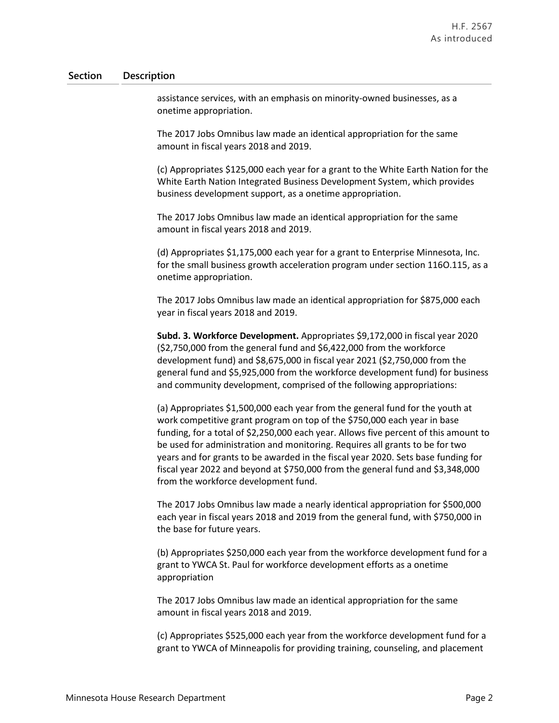### **Section Description**

assistance services, with an emphasis on minority-owned businesses, as a onetime appropriation.

The 2017 Jobs Omnibus law made an identical appropriation for the same amount in fiscal years 2018 and 2019.

(c) Appropriates \$125,000 each year for a grant to the White Earth Nation for the White Earth Nation Integrated Business Development System, which provides business development support, as a onetime appropriation.

The 2017 Jobs Omnibus law made an identical appropriation for the same amount in fiscal years 2018 and 2019.

(d) Appropriates \$1,175,000 each year for a grant to Enterprise Minnesota, Inc. for the small business growth acceleration program under section 116O.115, as a onetime appropriation.

The 2017 Jobs Omnibus law made an identical appropriation for \$875,000 each year in fiscal years 2018 and 2019.

**Subd. 3. Workforce Development.** Appropriates \$9,172,000 in fiscal year 2020 (\$2,750,000 from the general fund and \$6,422,000 from the workforce development fund) and \$8,675,000 in fiscal year 2021 (\$2,750,000 from the general fund and \$5,925,000 from the workforce development fund) for business and community development, comprised of the following appropriations:

(a) Appropriates \$1,500,000 each year from the general fund for the youth at work competitive grant program on top of the \$750,000 each year in base funding, for a total of \$2,250,000 each year. Allows five percent of this amount to be used for administration and monitoring. Requires all grants to be for two years and for grants to be awarded in the fiscal year 2020. Sets base funding for fiscal year 2022 and beyond at \$750,000 from the general fund and \$3,348,000 from the workforce development fund.

The 2017 Jobs Omnibus law made a nearly identical appropriation for \$500,000 each year in fiscal years 2018 and 2019 from the general fund, with \$750,000 in the base for future years.

(b) Appropriates \$250,000 each year from the workforce development fund for a grant to YWCA St. Paul for workforce development efforts as a onetime appropriation

The 2017 Jobs Omnibus law made an identical appropriation for the same amount in fiscal years 2018 and 2019.

(c) Appropriates \$525,000 each year from the workforce development fund for a grant to YWCA of Minneapolis for providing training, counseling, and placement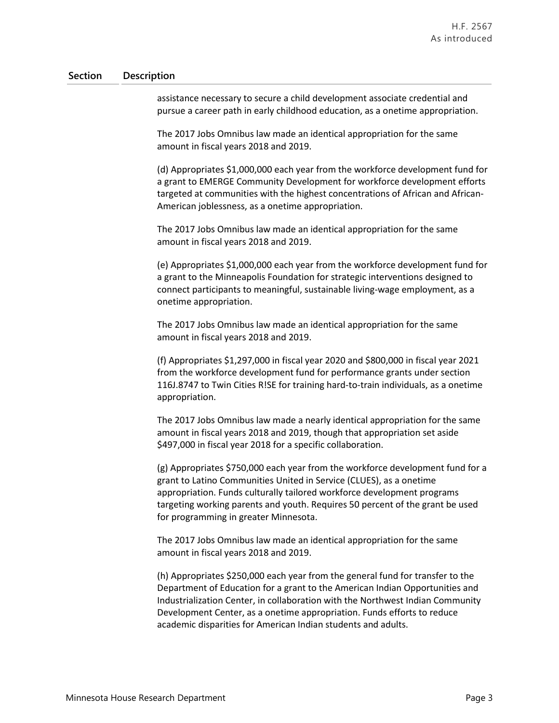### **Section Description**

assistance necessary to secure a child development associate credential and pursue a career path in early childhood education, as a onetime appropriation.

The 2017 Jobs Omnibus law made an identical appropriation for the same amount in fiscal years 2018 and 2019.

(d) Appropriates \$1,000,000 each year from the workforce development fund for a grant to EMERGE Community Development for workforce development efforts targeted at communities with the highest concentrations of African and African-American joblessness, as a onetime appropriation.

The 2017 Jobs Omnibus law made an identical appropriation for the same amount in fiscal years 2018 and 2019.

(e) Appropriates \$1,000,000 each year from the workforce development fund for a grant to the Minneapolis Foundation for strategic interventions designed to connect participants to meaningful, sustainable living-wage employment, as a onetime appropriation.

The 2017 Jobs Omnibus law made an identical appropriation for the same amount in fiscal years 2018 and 2019.

(f) Appropriates \$1,297,000 in fiscal year 2020 and \$800,000 in fiscal year 2021 from the workforce development fund for performance grants under section 116J.8747 to Twin Cities R!SE for training hard-to-train individuals, as a onetime appropriation.

The 2017 Jobs Omnibus law made a nearly identical appropriation for the same amount in fiscal years 2018 and 2019, though that appropriation set aside \$497,000 in fiscal year 2018 for a specific collaboration.

(g) Appropriates \$750,000 each year from the workforce development fund for a grant to Latino Communities United in Service (CLUES), as a onetime appropriation. Funds culturally tailored workforce development programs targeting working parents and youth. Requires 50 percent of the grant be used for programming in greater Minnesota.

The 2017 Jobs Omnibus law made an identical appropriation for the same amount in fiscal years 2018 and 2019.

(h) Appropriates \$250,000 each year from the general fund for transfer to the Department of Education for a grant to the American Indian Opportunities and Industrialization Center, in collaboration with the Northwest Indian Community Development Center, as a onetime appropriation. Funds efforts to reduce academic disparities for American Indian students and adults.